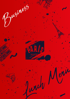